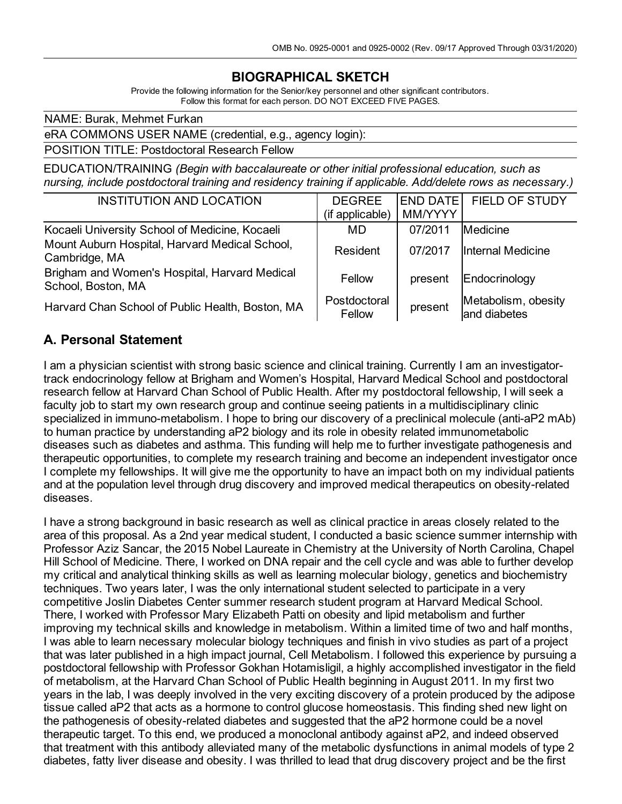# **BIOGRAPHICAL SKETCH**

Provide the following information for the Senior/key personnel and other significant contributors. Follow this format for each person. DO NOT EXCEED FIVE PAGES.

NAME: Burak, Mehmet Furkan

eRA COMMONS USER NAME (credential, e.g., agency login):

POSITION TITLE: Postdoctoral Research Fellow

EDUCATION/TRAINING *(Begin with baccalaureate or other initial professional education, such as nursing, include postdoctoral training and residency training if applicable. Add/delete rows as necessary.)*

| <b>INSTITUTION AND LOCATION</b>                                     | <b>DEGREE</b><br>(if applicable) | END DATE<br>MM/YYYY | <b>FIELD OF STUDY</b>               |
|---------------------------------------------------------------------|----------------------------------|---------------------|-------------------------------------|
| Kocaeli University School of Medicine, Kocaeli                      | MD                               | 07/2011             | Medicine                            |
| Mount Auburn Hospital, Harvard Medical School,<br>Cambridge, MA     | Resident                         | 07/2017             | Internal Medicine                   |
| Brigham and Women's Hospital, Harvard Medical<br>School, Boston, MA | Fellow                           | present             | Endocrinology                       |
| Harvard Chan School of Public Health, Boston, MA                    | Postdoctoral<br>Fellow           | present             | Metabolism, obesity<br>and diabetes |

#### **A. Personal Statement**

I am a physician scientist with strong basic science and clinical training. Currently I am an investigatortrack endocrinology fellow at Brigham and Women's Hospital, Harvard Medical School and postdoctoral research fellow at Harvard Chan School of Public Health. After my postdoctoral fellowship, I will seek a faculty job to start my own research group and continue seeing patients in a multidisciplinary clinic specialized in immuno-metabolism. I hope to bring our discovery of a preclinical molecule (anti-aP2 mAb) to human practice by understanding aP2 biology and its role in obesity related immunometabolic diseases such as diabetes and asthma. This funding will help me to further investigate pathogenesis and therapeutic opportunities, to complete my research training and become an independent investigator once I complete my fellowships. It will give me the opportunity to have an impact both on my individual patients and at the population level through drug discovery and improved medical therapeutics on obesity-related diseases.

I have a strong background in basic research as well as clinical practice in areas closely related to the area of this proposal. As a 2nd year medical student, I conducted a basic science summer internship with Professor Aziz Sancar, the 2015 Nobel Laureate in Chemistry at the University of North Carolina, Chapel Hill School of Medicine. There, I worked on DNA repair and the cell cycle and was able to further develop my critical and analytical thinking skills as well as learning molecular biology, genetics and biochemistry techniques. Two years later, I was the only international student selected to participate in a very competitive Joslin Diabetes Center summer research student program at Harvard Medical School. There, I worked with Professor Mary Elizabeth Patti on obesity and lipid metabolism and further improving my technical skills and knowledge in metabolism. Within a limited time of two and half months, I was able to learn necessary molecular biology techniques and finish in vivo studies as part of a project that was later published in a high impact journal, Cell Metabolism. I followed this experience by pursuing a postdoctoral fellowship with Professor Gokhan Hotamisligil, a highly accomplished investigator in the field of metabolism, at the Harvard Chan School of Public Health beginning in August 2011. In my first two years in the lab, I was deeply involved in the very exciting discovery of a protein produced by the adipose tissue called aP2 that acts as a hormone to control glucose homeostasis. This finding shed new light on the pathogenesis of obesity-related diabetes and suggested that the aP2 hormone could be a novel therapeutic target. To this end, we produced a monoclonal antibody against aP2, and indeed observed that treatment with this antibody alleviated many of the metabolic dysfunctions in animal models of type 2 diabetes, fatty liver disease and obesity. I was thrilled to lead that drug discovery project and be the first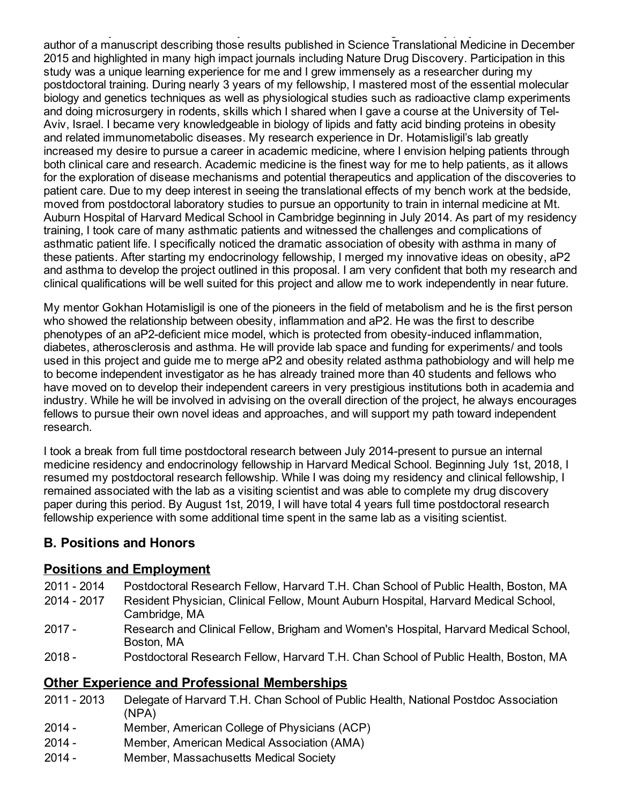diabetes, fatty liver disease and obesity. I was thrilled to lead that drug discovery project and be the first author of a manuscript describing those results published in Science Translational Medicine in December 2015 and highlighted in many high impact journals including Nature Drug Discovery. Participation in this study was a unique learning experience for me and I grew immensely as a researcher during my postdoctoral training. During nearly 3 years of my fellowship, I mastered most of the essential molecular biology and genetics techniques as well as physiological studies such as radioactive clamp experiments and doing microsurgery in rodents, skills which I shared when I gave a course at the University of Tel-Aviv, Israel. I became very knowledgeable in biology of lipids and fatty acid binding proteins in obesity and related immunometabolic diseases. My research experience in Dr. Hotamisligil's lab greatly increased my desire to pursue a career in academic medicine, where I envision helping patients through both clinical care and research. Academic medicine is the finest way for me to help patients, as it allows for the exploration of disease mechanisms and potential therapeutics and application of the discoveries to patient care. Due to my deep interest in seeing the translational effects of my bench work at the bedside, moved from postdoctoral laboratory studies to pursue an opportunity to train in internal medicine at Mt. Auburn Hospital of Harvard Medical School in Cambridge beginning in July 2014. As part of my residency training, I took care of many asthmatic patients and witnessed the challenges and complications of asthmatic patient life. I specifically noticed the dramatic association of obesity with asthma in many of these patients. After starting my endocrinology fellowship, I merged my innovative ideas on obesity, aP2 and asthma to develop the project outlined in this proposal. I am very confident that both my research and clinical qualifications will be well suited for this project and allow me to work independently in near future.

My mentor Gokhan Hotamisligil is one of the pioneers in the field of metabolism and he is the first person who showed the relationship between obesity, inflammation and aP2. He was the first to describe phenotypes of an aP2-deficient mice model, which is protected from obesity-induced inflammation, diabetes, atherosclerosis and asthma. He will provide lab space and funding for experiments/ and tools used in this project and guide me to merge aP2 and obesity related asthma pathobiology and will help me to become independent investigator as he has already trained more than 40 students and fellows who have moved on to develop their independent careers in very prestigious institutions both in academia and industry. While he will be involved in advising on the overall direction of the project, he always encourages fellows to pursue their own novel ideas and approaches, and will support my path toward independent research.

I took a break from full time postdoctoral research between July 2014-present to pursue an internal medicine residency and endocrinology fellowship in Harvard Medical School. Beginning July 1st, 2018, I resumed my postdoctoral research fellowship. While I was doing my residency and clinical fellowship, I remained associated with the lab as a visiting scientist and was able to complete my drug discovery paper during this period. By August 1st, 2019, I will have total 4 years full time postdoctoral research fellowship experience with some additional time spent in the same lab as a visiting scientist.

## **B. Positions and Honors**

#### **Positions and Employment**

- 2011 2014 Postdoctoral Research Fellow, Harvard T.H. Chan School of Public Health, Boston, MA
- 2014 2017 Resident Physician, Clinical Fellow, Mount Auburn Hospital, Harvard Medical School, Cambridge, MA
- 2017 Research and Clinical Fellow, Brigham and Women's Hospital, Harvard Medical School, Boston, MA
- 2018 Postdoctoral Research Fellow, Harvard T.H. Chan School of Public Health, Boston, MA

## **Other Experience and Professional Memberships**

- 2011 2013 Delegate of Harvard T.H. Chan School of Public Health, National Postdoc Association (NPA)
- 2014 Member, American College of Physicians (ACP)
- 2014 Member, American Medical Association (AMA)
- 2014 Member, Massachusetts Medical Society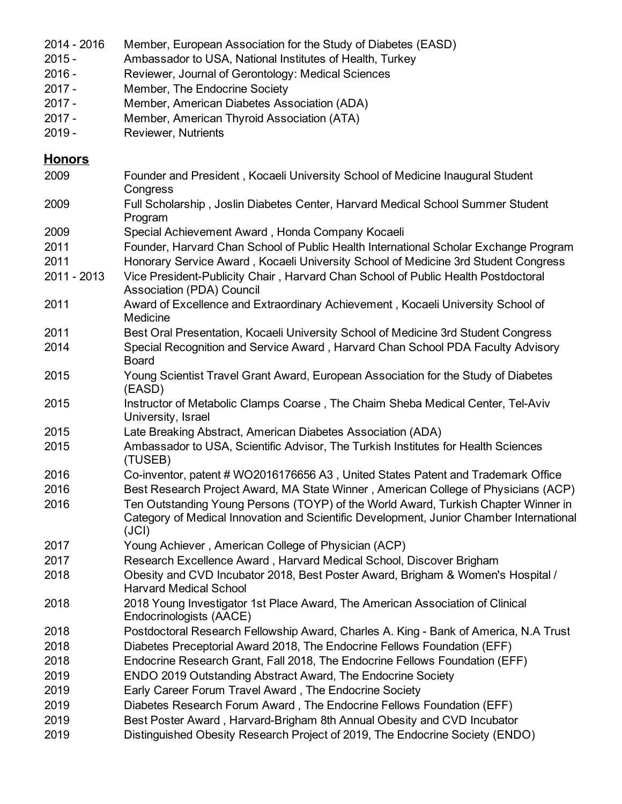- 2016 Member, European Association for the Study of Diabetes (EASD)
- Ambassador to USA, National Institutes of Health, Turkey
- Reviewer, Journal of Gerontology: Medical Sciences
- Member, The Endocrine Society
- Member, American Diabetes Association (ADA)
- Member, American Thyroid Association (ATA)
- Reviewer, Nutrients

#### **Honors**

- Founder and President , Kocaeli University School of Medicine Inaugural Student **Congress**  Full Scholarship , Joslin Diabetes Center, Harvard Medical School Summer Student Program Special Achievement Award , Honda Company Kocaeli
- Founder, Harvard Chan School of Public Health International Scholar Exchange Program
- Honorary Service Award , Kocaeli University School of Medicine 3rd Student Congress
- 2013 Vice President-Publicity Chair , Harvard Chan School of Public Health Postdoctoral Association (PDA) Council
- Award of Excellence and Extraordinary Achievement , Kocaeli University School of Medicine
- Best Oral Presentation, Kocaeli University School of Medicine 3rd Student Congress Special Recognition and Service Award , Harvard Chan School PDA Faculty Advisory Board
- Young Scientist Travel Grant Award, European Association for the Study of Diabetes (EASD)
- Instructor of Metabolic Clamps Coarse , The Chaim Sheba Medical Center, Tel-Aviv University, Israel
- Late Breaking Abstract, American Diabetes Association (ADA)
- Ambassador to USA, Scientific Advisor, The Turkish Institutes for Health Sciences (TUSEB)
- Co-inventor, patent # WO2016176656 A3 , United States Patent and Trademark Office
- Best Research Project Award, MA State Winner , American College of Physicians (ACP) Ten Outstanding Young Persons (TOYP) of the World Award, Turkish Chapter Winner in Category of Medical Innovation and Scientific Development, Junior Chamber International (JCI)
- Young Achiever , American College of Physician (ACP)
- Research Excellence Award , Harvard Medical School, Discover Brigham
- Obesity and CVD Incubator 2018, Best Poster Award, Brigham & Women's Hospital / Harvard Medical School
- 2018 Young Investigator 1st Place Award, The American Association of Clinical Endocrinologists (AACE)
- Postdoctoral Research Fellowship Award, Charles A. King Bank of America, N.A Trust Diabetes Preceptorial Award 2018, The Endocrine Fellows Foundation (EFF)
- Endocrine Research Grant, Fall 2018, The Endocrine Fellows Foundation (EFF)
- ENDO 2019 Outstanding Abstract Award, The Endocrine Society
- Early Career Forum Travel Award , The Endocrine Society
- Diabetes Research Forum Award , The Endocrine Fellows Foundation (EFF)
- Best Poster Award , Harvard-Brigham 8th Annual Obesity and CVD Incubator
- Distinguished Obesity Research Project of 2019, The Endocrine Society (ENDO)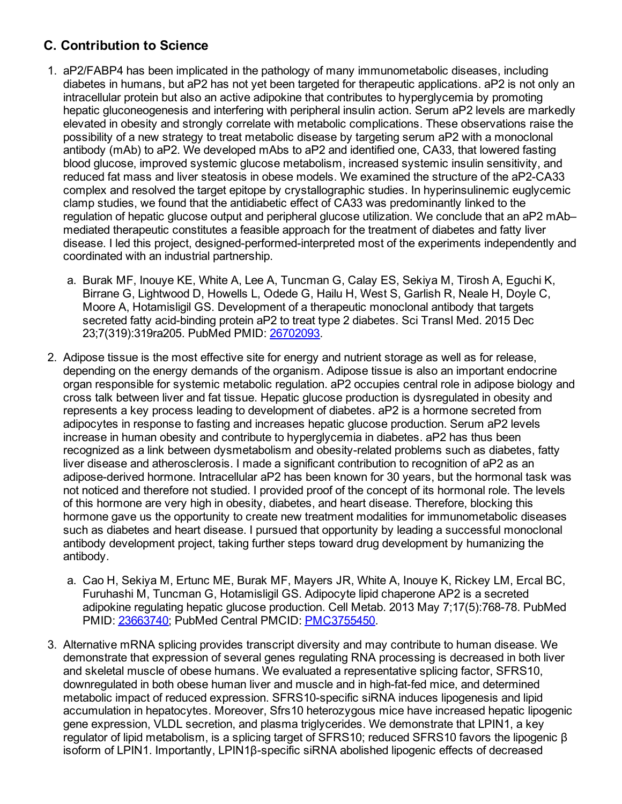# **C. Contribution to Science**

- 1. aP2/FABP4 has been implicated in the pathology of many immunometabolic diseases, including diabetes in humans, but aP2 has not yet been targeted for therapeutic applications. aP2 is not only an intracellular protein but also an active adipokine that contributes to hyperglycemia by promoting hepatic gluconeogenesis and interfering with peripheral insulin action. Serum aP2 levels are markedly elevated in obesity and strongly correlate with metabolic complications. These observations raise the possibility of a new strategy to treat metabolic disease by targeting serum aP2 with a monoclonal antibody (mAb) to aP2. We developed mAbs to aP2 and identified one, CA33, that lowered fasting blood glucose, improved systemic glucose metabolism, increased systemic insulin sensitivity, and reduced fat mass and liver steatosis in obese models. We examined the structure of the aP2-CA33 complex and resolved the target epitope by crystallographic studies. In hyperinsulinemic euglycemic clamp studies, we found that the antidiabetic effect of CA33 was predominantly linked to the regulation of hepatic glucose output and peripheral glucose utilization. We conclude that an aP2 mAb– mediated therapeutic constitutes a feasible approach for the treatment of diabetes and fatty liver disease. I led this project, designed-performed-interpreted most of the experiments independently and coordinated with an industrial partnership.
	- a. Burak MF, Inouye KE, White A, Lee A, Tuncman G, Calay ES, Sekiya M, Tirosh A, Eguchi K, Birrane G, Lightwood D, Howells L, Odede G, Hailu H, West S, Garlish R, Neale H, Doyle C, Moore A, Hotamisligil GS. Development of a therapeutic monoclonal antibody that targets secreted fatty acid-binding protein aP2 to treat type 2 diabetes. Sci Transl Med. 2015 Dec 23;7(319):319ra205. PubMed PMID: [26702093](http://www.ncbi.nlm.nih.gov/pubmed/26702093/).
- 2. Adipose tissue is the most effective site for energy and nutrient storage as well as for release, depending on the energy demands of the organism. Adipose tissue is also an important endocrine organ responsible for systemic metabolic regulation. aP2 occupies central role in adipose biology and cross talk between liver and fat tissue. Hepatic glucose production is dysregulated in obesity and represents a key process leading to development of diabetes. aP2 is a hormone secreted from adipocytes in response to fasting and increases hepatic glucose production. Serum aP2 levels increase in human obesity and contribute to hyperglycemia in diabetes. aP2 has thus been recognized as a link between dysmetabolism and obesity-related problems such as diabetes, fatty liver disease and atherosclerosis. I made a significant contribution to recognition of aP2 as an adipose-derived hormone. Intracellular aP2 has been known for 30 years, but the hormonal task was not noticed and therefore not studied. I provided proof of the concept of its hormonal role. The levels of this hormone are very high in obesity, diabetes, and heart disease. Therefore, blocking this hormone gave us the opportunity to create new treatment modalities for immunometabolic diseases such as diabetes and heart disease. I pursued that opportunity by leading a successful monoclonal antibody development project, taking further steps toward drug development by humanizing the antibody.
	- a. Cao H, Sekiya M, Ertunc ME, Burak MF, Mayers JR, White A, Inouye K, Rickey LM, Ercal BC, Furuhashi M, Tuncman G, Hotamisligil GS. Adipocyte lipid chaperone AP2 is a secreted adipokine regulating hepatic glucose production. Cell Metab. 2013 May 7;17(5):768-78. PubMed PMID: [23663740](http://www.ncbi.nlm.nih.gov/pubmed/23663740/); PubMed Central PMCID: [PMC3755450](http://www.ncbi.nlm.nih.gov/pmc/articles/PMC3755450/).
- 3. Alternative mRNA splicing provides transcript diversity and may contribute to human disease. We demonstrate that expression of several genes regulating RNA processing is decreased in both liver and skeletal muscle of obese humans. We evaluated a representative splicing factor, SFRS10, downregulated in both obese human liver and muscle and in high-fat-fed mice, and determined metabolic impact of reduced expression. SFRS10-specific siRNA induces lipogenesis and lipid accumulation in hepatocytes. Moreover, Sfrs10 heterozygous mice have increased hepatic lipogenic gene expression, VLDL secretion, and plasma triglycerides. We demonstrate that LPIN1, a key regulator of lipid metabolism, is a splicing target of SFRS10; reduced SFRS10 favors the lipogenic β isoform of LPIN1. Importantly, LPIN1β-specific siRNA abolished lipogenic effects of decreased